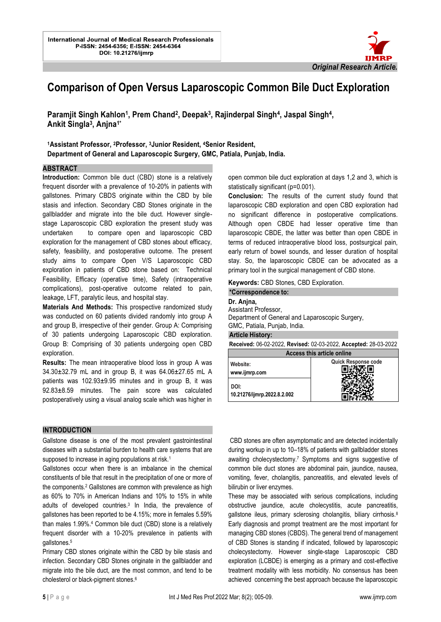

# **Comparison of Open Versus Laparoscopic Common Bile Duct Exploration**

l.

Paramjit Singh Kahlon<sup>1</sup>, Prem Chand<sup>2</sup>, Deepak<sup>3</sup>, Rajinderpal Singh<sup>4</sup>, Jaspal Singh<sup>4</sup>, **Ankit Singla<sup>3</sup> , Anjna1\***

**<sup>1</sup>Assistant Professor, 2Professor, 3Junior Resident, 4Senior Resident, Department of General and Laparoscopic Surgery, GMC, Patiala, Punjab, India.**

#### **ABSTRACT**

**Introduction:** Common bile duct (CBD) stone is a relatively frequent disorder with a prevalence of 10-20% in patients with gallstones. Primary CBDS originate within the CBD by bile stasis and infection. Secondary CBD Stones originate in the gallbladder and migrate into the bile duct. However singlestage Laparoscopic CBD exploration the present study was undertaken to compare open and laparoscopic CBD exploration for the management of CBD stones about efficacy, safety, feasibility, and postoperative outcome. The present study aims to compare Open V/S Laparoscopic CBD exploration in patients of CBD stone based on: Technical Feasibility, Efficacy (operative time), Safety (intraoperative complications), post-operative outcome related to pain, leakage, LFT, paralytic ileus, and hospital stay.

**Materials And Methods:** This prospective randomized study was conducted on 60 patients divided randomly into group A and group B, irrespective of their gender. Group A: Comprising of 30 patients undergoing Laparoscopic CBD exploration. Group B: Comprising of 30 patients undergoing open CBD exploration.

**Results:** The mean intraoperative blood loss in group A was 34.30±32.79 mL and in group B, it was 64.06±27.65 mL A patients was 102.93±9.95 minutes and in group B, it was 92.83±8.59 minutes. The pain score was calculated postoperatively using a visual analog scale which was higher in

#### **INTRODUCTION**

Gallstone disease is one of the most prevalent gastrointestinal diseases with a substantial burden to health care systems that are supposed to increase in aging populations at risk.<sup>1</sup>

Gallstones occur when there is an imbalance in the chemical constituents of bile that result in the precipitation of one or more of the components.<sup>2</sup> Gallstones are common with prevalence as high as 60% to 70% in American Indians and 10% to 15% in white adults of developed countries.<sup>3</sup> In India, the prevalence of gallstones has been reported to be 4.15%; more in females 5.59% than males 1.99%.<sup>4</sup> Common bile duct (CBD) stone is a relatively frequent disorder with a 10-20% prevalence in patients with gallstones.<sup>5</sup>

Primary CBD stones originate within the CBD by bile stasis and infection. Secondary CBD Stones originate in the gallbladder and migrate into the bile duct, are the most common, and tend to be cholesterol or black-pigment stones.<sup>6</sup>

open common bile duct exploration at days 1,2 and 3, which is statistically significant (p=0.001).

**Conclusion:** The results of the current study found that laparoscopic CBD exploration and open CBD exploration had no significant difference in postoperative complications. Although open CBDE had lesser operative time than laparoscopic CBDE, the latter was better than open CBDE in terms of reduced intraoperative blood loss, postsurgical pain, early return of bowel sounds, and lesser duration of hospital stay. So, the laparoscopic CBDE can be advocated as a primary tool in the surgical management of CBD stone.

**Keywords:** CBD Stones, CBD Exploration.

# **\*Correspondence to: Dr. Anjna,**

## Assistant Professor,

Department of General and Laparoscopic Surgery, GMC, Patiala, Punjab, India.

**Article History:**

**Received:** 06-02-2022, **Revised:** 02-03-2022, **Accepted:** 28-03-2022

| Access this article online          |                            |  |  |  |
|-------------------------------------|----------------------------|--|--|--|
| Website:<br>www.ijmrp.com           | <b>Quick Response code</b> |  |  |  |
| DOI:<br>10.21276/ijmrp.2022.8.2.002 |                            |  |  |  |

CBD stones are often asymptomatic and are detected incidentally during workup in up to 10–18% of patients with gallbladder stones awaiting cholecystectomy.<sup>7</sup> Symptoms and signs suggestive of common bile duct stones are abdominal pain, jaundice, nausea, vomiting, fever, cholangitis, pancreatitis, and elevated levels of bilirubin or liver enzymes.

These may be associated with serious complications, including obstructive jaundice, acute cholecystitis, acute pancreatitis, gallstone ileus, primary sclerosing cholangitis, biliary cirrhosis.<sup>8</sup> Early diagnosis and prompt treatment are the most important for managing CBD stones (CBDS). The general trend of management of CBD Stones is standing if indicated, followed by laparoscopic cholecystectomy. However single-stage Laparoscopic CBD exploration (LCBDE) is emerging as a primary and cost-effective treatment modality with less morbidity. No consensus has been achieved concerning the best approach because the laparoscopic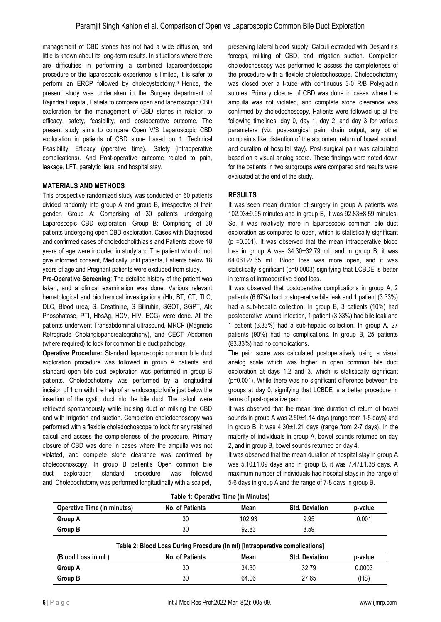management of CBD stones has not had a wide diffusion, and little is known about its long-term results. In situations where there are difficulties in performing a combined laparoendoscopic procedure or the laparoscopic experience is limited, it is safer to perform an ERCP followed by cholecystectomy.9 Hence, the present study was undertaken in the Surgery department of Rajindra Hospital, Patiala to compare open and laparoscopic CBD exploration for the management of CBD stones in relation to efficacy, safety, feasibility, and postoperative outcome. The present study aims to compare Open V/S Laparoscopic CBD exploration in patients of CBD stone based on 1. Technical Feasibility, Efficacy (operative time)., Safety (intraoperative complications). And Post-operative outcome related to pain, leakage, LFT, paralytic ileus, and hospital stay.

## **MATERIALS AND METHODS**

This prospective randomized study was conducted on 60 patients divided randomly into group A and group B, irrespective of their gender. Group A: Comprising of 30 patients undergoing Laparoscopic CBD exploration. Group B: Comprising of 30 patients undergoing open CBD exploration. Cases with Diagnosed and confirmed cases of choledocholithiasis and Patients above 18 years of age were included in study and The patient who did not give informed consent, Medically unfit patients, Patients below 18 years of age and Pregnant patients were excluded from study.

**Pre-Operative Screening**: The detailed history of the patient was taken, and a clinical examination was done. Various relevant hematological and biochemical investigations (Hb, BT, CT, TLC, DLC, Blood urea, S. Creatinine, S Bilirubin, SGOT, SGPT, Alk Phosphatase, PTI, HbsAg, HCV, HIV, ECG) were done. All the patients underwent Transabdominal ultrasound, MRCP (Magnetic Retrograde Cholangiopancreatograhphy), and CECT Abdomen (where required) to look for common bile duct pathology.

**Operative Procedure:** Standard laparoscopic common bile duct exploration procedure was followed in group A patients and standard open bile duct exploration was performed in group B patients. Choledochotomy was performed by a longitudinal incision of 1 cm with the help of an endoscopic knife just below the insertion of the cystic duct into the bile duct. The calculi were retrieved spontaneously while incising duct or milking the CBD and with irrigation and suction. Completion choledochoscopy was performed with a flexible choledochoscope to look for any retained calculi and assess the completeness of the procedure. Primary closure of CBD was done in cases where the ampulla was not violated, and complete stone clearance was confirmed by choledochoscopy. In group B patient's Open common bile duct exploration standard procedure was followed and Choledochotomy was performed longitudinally with a scalpel,

preserving lateral blood supply. Calculi extracted with Desjardin's forceps, milking of CBD, and irrigation suction. Completion choledochoscopy was performed to assess the completeness of the procedure with a flexible choledochoscope. Choledochotomy was closed over a t-tube with continuous 3-0 R/B Polyglactin sutures. Primary closure of CBD was done in cases where the ampulla was not violated, and complete stone clearance was confirmed by choledochoscopy. Patients were followed up at the following timelines: day 0, day 1, day 2, and day 3 for various parameters (viz. post-surgical pain, drain output, any other complaints like distention of the abdomen, return of bowel sound, and duration of hospital stay). Post-surgical pain was calculated based on a visual analog score. These findings were noted down for the patients in two subgroups were compared and results were evaluated at the end of the study.

## **RESULTS**

It was seen mean duration of surgery in group A patients was 102.93±9.95 minutes and in group B, it was 92.83±8.59 minutes. So, it was relatively more in laparoscopic common bile duct exploration as compared to open, which is statistically significant (p =0.001). It was observed that the mean intraoperative blood loss in group A was 34.30±32.79 mL and in group B, it was 64.06±27.65 mL. Blood loss was more open, and it was statistically significant (p=0.0003) signifying that LCBDE is better in terms of intraoperative blood loss.

It was observed that postoperative complications in group A, 2 patients (6.67%) had postoperative bile leak and 1 patient (3.33%) had a sub-hepatic collection. In group B, 3 patients (10%) had postoperative wound infection, 1 patient (3.33%) had bile leak and 1 patient (3.33%) had a sub-hepatic collection. In group A, 27 patients (90%) had no complications. In group B, 25 patients (83.33%) had no complications.

The pain score was calculated postoperatively using a visual analog scale which was higher in open common bile duct exploration at days 1,2 and 3, which is statistically significant (p=0.001). While there was no significant difference between the groups at day 0, signifying that LCBDE is a better procedure in terms of post-operative pain.

It was observed that the mean time duration of return of bowel sounds in group A was  $2.50 \pm 1.14$  days (range from 1-5 days) and in group B, it was 4.30±1.21 days (range from 2-7 days). In the majority of individuals in group A, bowel sounds returned on day 2, and in group B, bowel sounds returned on day 4.

It was observed that the mean duration of hospital stay in group A was 5.10±1.09 days and in group B, it was 7.47±1.38 days. A maximum number of individuals had hospital stays in the range of 5-6 days in group A and the range of 7-8 days in group B.

| Table 1: Operative Time (In Minutes) |                                                                             |        |                       |         |  |  |  |
|--------------------------------------|-----------------------------------------------------------------------------|--------|-----------------------|---------|--|--|--|
| <b>Operative Time (in minutes)</b>   | No. of Patients                                                             | Mean   | <b>Std. Deviation</b> | p-value |  |  |  |
| <b>Group A</b>                       | 30                                                                          | 102.93 | 9.95                  | 0.001   |  |  |  |
| <b>Group B</b>                       | 30                                                                          | 92.83  | 8.59                  |         |  |  |  |
|                                      | Table 2: Blood Loss During Procedure (In mI) [Intraoperative complications] |        |                       |         |  |  |  |
| (Blood Loss in mL)                   | No. of Patients                                                             | Mean   | <b>Std. Deviation</b> | p-value |  |  |  |
| <b>Group A</b>                       | 30                                                                          | 34.30  | 32.79                 | 0.0003  |  |  |  |
| <b>Group B</b>                       | 30                                                                          | 64.06  | 27.65                 | (HS)    |  |  |  |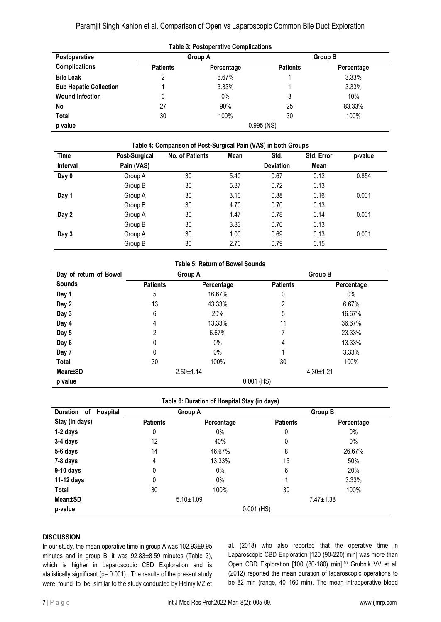Paramjit Singh Kahlon et al. Comparison of Open vs Laparoscopic Common Bile Duct Exploration

| <b>Table 3: Postoperative Complications</b> |                 |            |                 |                |
|---------------------------------------------|-----------------|------------|-----------------|----------------|
| <b>Postoperative</b>                        | <b>Group A</b>  |            |                 | <b>Group B</b> |
| <b>Complications</b>                        | <b>Patients</b> | Percentage | <b>Patients</b> | Percentage     |
| <b>Bile Leak</b>                            |                 | 6.67%      |                 | 3.33%          |
| <b>Sub Hepatic Collection</b>               |                 | 3.33%      |                 | 3.33%          |
| <b>Wound Infection</b>                      | 0               | $0\%$      | 3               | 10%            |
| No                                          | 27              | 90%        | 25              | 83.33%         |
| Total                                       | 30              | 100%       | 30              | 100%           |
| p value                                     |                 |            | $0.995$ (NS)    |                |

| <b>Time</b>     | Post-Surgical | <b>No. of Patients</b> | Mean | Std.             | Std. Error | p-value |
|-----------------|---------------|------------------------|------|------------------|------------|---------|
| <b>Interval</b> | Pain (VAS)    |                        |      | <b>Deviation</b> | Mean       |         |
| Day 0           | Group A       | 30                     | 5.40 | 0.67             | 0.12       | 0.854   |
|                 | Group B       | 30                     | 5.37 | 0.72             | 0.13       |         |
| Day 1           | Group A       | 30                     | 3.10 | 0.88             | 0.16       | 0.001   |
|                 | Group B       | 30                     | 4.70 | 0.70             | 0.13       |         |
| Day 2           | Group A       | 30                     | 1.47 | 0.78             | 0.14       | 0.001   |
|                 | Group B       | 30                     | 3.83 | 0.70             | 0.13       |         |
| Day 3           | Group A       | 30                     | 1.00 | 0.69             | 0.13       | 0.001   |
|                 | Group B       | 30                     | 2.70 | 0.79             | 0.15       |         |

|  |  | <b>Table 5: Return of Bowel Sounds</b> |  |
|--|--|----------------------------------------|--|
|--|--|----------------------------------------|--|

| Day of return of Bowel | Group A         |            |                 | Group B    |
|------------------------|-----------------|------------|-----------------|------------|
| Sounds                 | <b>Patients</b> | Percentage | <b>Patients</b> | Percentage |
| Day 1                  | 5               | 16.67%     | 0               | $0\%$      |
| Day 2                  | 13              | 43.33%     | 2               | 6.67%      |
| Day 3                  | 6               | 20%        | 5               | 16.67%     |
| Day 4                  | 4               | 13.33%     | 11              | 36.67%     |
| Day 5                  | 2               | 6.67%      |                 | 23.33%     |
| Day 6                  | 0               | $0\%$      | 4               | 13.33%     |
| Day 7                  | 0               | $0\%$      |                 | 3.33%      |
| Total                  | 30              | 100%       | 30              | 100%       |
| Mean±SD                | $2.50 \pm 1.14$ |            | $4.30 \pm 1.21$ |            |
| p value                |                 |            | $0.001$ (HS)    |            |

| Duration<br>Hospital<br>of | Group A         |                 |                 | Group B         |  |
|----------------------------|-----------------|-----------------|-----------------|-----------------|--|
| Stay (in days)             | <b>Patients</b> | Percentage      | <b>Patients</b> | Percentage      |  |
| 1-2 days                   | 0               | $0\%$           | 0               | $0\%$           |  |
| 3-4 days                   | 12              | 40%             | 0               | $0\%$           |  |
| 5-6 days                   | 14              | 46.67%          | 8               | 26.67%          |  |
| 7-8 days                   | 4               | 13.33%          | 15              | 50%             |  |
| 9-10 days                  | 0               | $0\%$           | 6               | 20%             |  |
| 11-12 days                 | 0               | $0\%$           |                 | 3.33%           |  |
| Total                      | 30              | 100%            | 30              | 100%            |  |
| Mean±SD                    |                 | $5.10 \pm 1.09$ |                 | $7.47 \pm 1.38$ |  |
| p-value                    |                 |                 | $0.001$ (HS)    |                 |  |

# **DISCUSSION**

In our study, the mean operative time in group A was 102.93±9.95 minutes and in group B, it was 92.83±8.59 minutes (Table 3), which is higher in Laparoscopic CBD Exploration and is statistically significant ( $p= 0.001$ ). The results of the present study were found to be similar to the study conducted by Helmy MZ et

al. (2018) who also reported that the operative time in Laparoscopic CBD Exploration [120 (90-220) min] was more than Open CBD Exploration [100 (80-180) min].<sup>10</sup> Grubnik VV et al. (2012) reported the mean duration of laparoscopic operations to be 82 min (range, 40–160 min). The mean intraoperative blood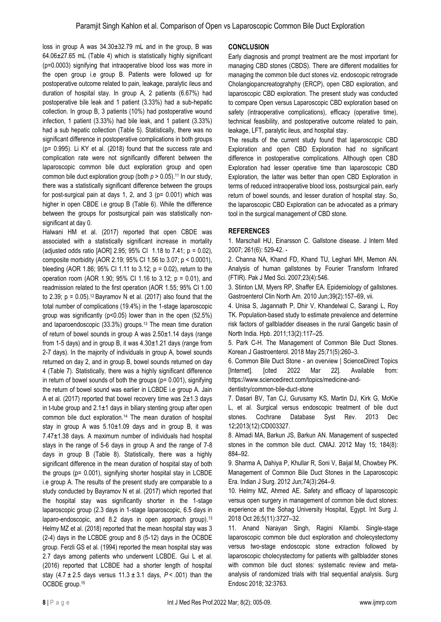loss in group A was 34.30±32.79 mL and in the group, B was 64.06±27.65 mL (Table 4) which is statistically highly significant (p=0.0003) signifying that intraoperative blood loss was more in the open group i.e group B. Patients were followed up for postoperative outcome related to pain, leakage, paralytic ileus and duration of hospital stay. In group A, 2 patients (6.67%) had postoperative bile leak and 1 patient (3.33%) had a sub-hepatic collection. In group B, 3 patients (10%) had postoperative wound infection, 1 patient (3.33%) had bile leak, and 1 patient (3.33%) had a sub hepatic collection (Table 5). Statistically, there was no significant difference in postoperative complications in both groups (p= 0.995). Li KY et al. (2018) found that the success rate and complication rate were not significantly different between the laparoscopic common bile duct exploration group and open common bile duct exploration group (both  $p > 0.05$ ).<sup>11</sup> In our study, there was a statistically significant difference between the groups for post-surgical pain at days 1, 2, and 3 ( $p= 0.001$ ) which was higher in open CBDE i.e group B (Table 6). While the difference between the groups for postsurgical pain was statistically nonsignificant at day 0.

Halwani HM et al. (2017) reported that open CBDE was associated with a statistically significant increase in mortality (adjusted odds ratio [AOR] 2.95; 95% CI 1.18 to 7.41; p = 0.02), composite morbidity (AOR 2.19; 95% CI 1.56 to 3.07; p < 0.0001), bleeding (AOR 1.86; 95% CI 1.11 to 3.12; p = 0.02), return to the operation room (AOR 1.90; 95% CI 1.16 to 3.12; p = 0.01), and readmission related to the first operation (AOR 1.55; 95% CI 1.00 to 2.39;  $p = 0.05$ ).<sup>12</sup> Bayramov N et al. (2017) also found that the total number of complications (19.4%) in the 1-stage laparoscopic group was significantly (p<0.05) lower than in the open (52.5%) and laparoendoscopic (33.3%) groups.<sup>13</sup> The mean time duration of return of bowel sounds in group A was 2.50±1.14 days (range from 1-5 days) and in group B, it was  $4.30 \pm 1.21$  days (range from 2-7 days). In the majority of individuals in group A, bowel sounds returned on day 2, and in group B, bowel sounds returned on day 4 (Table 7). Statistically, there was a highly significant difference in return of bowel sounds of both the groups (p= 0.001), signifying the return of bowel sound was earlier in LCBDE i.e group A. Jain A et al. (2017) reported that bowel recovery time was  $2\pm1.3$  days in t-tube group and  $2.1\pm1$  days in biliary stenting group after open common bile duct exploration.<sup>14</sup> The mean duration of hospital stay in group A was  $5.10 \pm 1.09$  days and in group B, it was 7.47±1.38 days. A maximum number of individuals had hospital stays in the range of 5-6 days in group A and the range of 7-8 days in group B (Table 8). Statistically, there was a highly significant difference in the mean duration of hospital stay of both the groups (p= 0.001), signifying shorter hospital stay in LCBDE i.e group A. The results of the present study are comparable to a study conducted by Bayramov N et al. (2017) which reported that the hospital stay was significantly shorter in the 1-stage laparoscopic group (2.3 days in 1-stage laparoscopic, 6.5 days in laparo-endoscopic, and 8.2 days in open approach group).<sup>13</sup> Helmy MZ et al. (2018) reported that the mean hospital stay was 3 (2-4) days in the LCBDE group and 8 (5-12) days in the OCBDE group. Ferzli GS et al. (1994) reported the mean hospital stay was 2.7 days among patients who underwent LCBDE. Gui L et al. (2016) reported that LCBDE had a shorter length of hospital stay  $(4.7 \pm 2.5)$  days versus  $11.3 \pm 3.1$  days,  $P < .001$ ) than the OCBDE group.<sup>15</sup>

# **CONCLUSION**

Early diagnosis and prompt treatment are the most important for managing CBD stones (CBDS). There are different modalities for managing the common bile duct stones viz. endoscopic retrograde Cholangiopancreatograhphy (ERCP), open CBD exploration, and laparoscopic CBD exploration. The present study was conducted to compare Open versus Laparoscopic CBD exploration based on safety (intraoperative complications), efficacy (operative time), technical feasibility, and postoperative outcome related to pain, leakage, LFT, paralytic ileus, and hospital stay.

The results of the current study found that laparoscopic CBD Exploration and open CBD Exploration had no significant difference in postoperative complications. Although open CBD Exploration had lesser operative time than laparoscopic CBD Exploration, the latter was better than open CBD Exploration in terms of reduced intraoperative blood loss, postsurgical pain, early return of bowel sounds, and lesser duration of hospital stay. So, the laparoscopic CBD Exploration can be advocated as a primary tool in the surgical management of CBD stone.

# **REFERENCES**

1. Marschall HU, Einarsson C. Gallstone disease. J Intern Med 2007; 261(6): 529-42. -

2. Channa NA, Khand FD, Khand TU, Leghari MH, Memon AN. Analysis of human gallstones by Fourier Transform Infrared (FTIR). Pak J Med Sci. 2007;23(4):546.

3. Stinton LM, Myers RP, Shaffer EA. Epidemiology of gallstones. Gastroenterol Clin North Am. 2010 Jun;39(2):157–69, vii.

4. Unisa S, Jagannath P, Dhir V, Khandelwal C, Sarangi L, Roy TK. Population-based study to estimate prevalence and determine risk factors of gallbladder diseases in the rural Gangetic basin of North India. Hpb. 2011;13(2):117–25.

5. Park C-H. The Management of Common Bile Duct Stones. Korean J Gastroenterol. 2018 May 25;71(5):260–3.

6. Common Bile Duct Stone - an overview | ScienceDirect Topics [Internet]. [cited 2022 Mar 22]. Available from: https://www.sciencedirect.com/topics/medicine-and-

dentistry/common-bile-duct-stone

7. Dasari BV, Tan CJ, Gurusamy KS, Martin DJ, Kirk G, McKie L, et al. Surgical versus endoscopic treatment of bile duct stones. Cochrane Database Syst Rev. 2013 Dec 12;2013(12):CD003327.

8. Almadi MA, Barkun JS, Barkun AN. Management of suspected stones in the common bile duct. CMAJ. 2012 May 15; 184(8): 884–92.

9. Sharma A, Dahiya P, Khullar R, Soni V, Baijal M, Chowbey PK. Management of Common Bile Duct Stones in the Laparoscopic Era. Indian J Surg. 2012 Jun;74(3):264–9.

10. Helmy MZ, Ahmed AE. Safety and efficacy of laparoscopic versus open surgery in management of common bile duct stones: experience at the Sohag University Hospital, Egypt. Int Surg J. 2018 Oct 26;5(11):3727–32.

11. Anand Narayan Singh, Ragini Kilambi. Single-stage laparoscopic common bile duct exploration and cholecystectomy versus two-stage endoscopic stone extraction followed by laparoscopic cholecystectomy for patients with gallbladder stones with common bile duct stones: systematic review and metaanalysis of randomized trials with trial sequential analysis. Surg Endosc 2018; 32:3763.